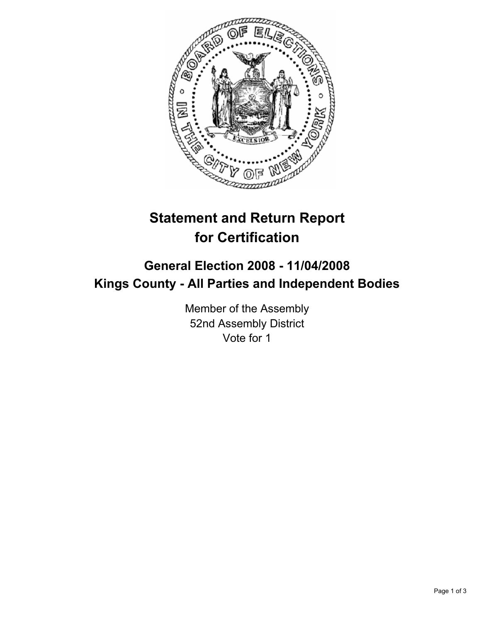

# **Statement and Return Report for Certification**

## **General Election 2008 - 11/04/2008 Kings County - All Parties and Independent Bodies**

Member of the Assembly 52nd Assembly District Vote for 1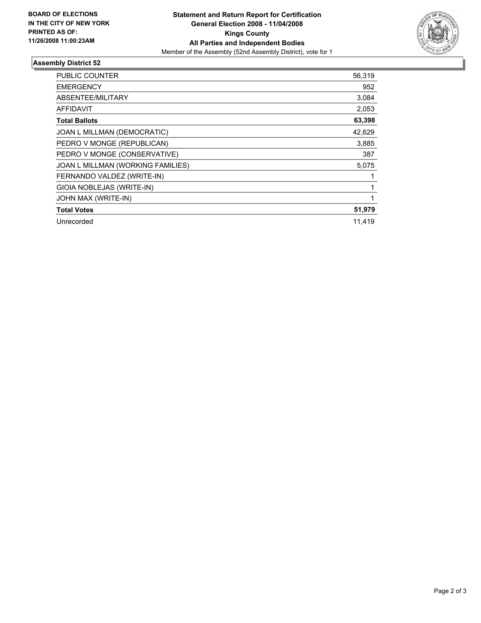

### **Assembly District 52**

| PUBLIC COUNTER                    | 56,319 |
|-----------------------------------|--------|
| <b>EMERGENCY</b>                  | 952    |
| ABSENTEE/MILITARY                 | 3,084  |
| <b>AFFIDAVIT</b>                  | 2,053  |
| <b>Total Ballots</b>              | 63,398 |
| JOAN L MILLMAN (DEMOCRATIC)       | 42,629 |
| PEDRO V MONGE (REPUBLICAN)        | 3,885  |
| PEDRO V MONGE (CONSERVATIVE)      | 387    |
| JOAN L MILLMAN (WORKING FAMILIES) | 5,075  |
| FERNANDO VALDEZ (WRITE-IN)        |        |
| GIOIA NOBLEJAS (WRITE-IN)         |        |
| JOHN MAX (WRITE-IN)               |        |
| <b>Total Votes</b>                | 51,979 |
| Unrecorded                        | 11,419 |